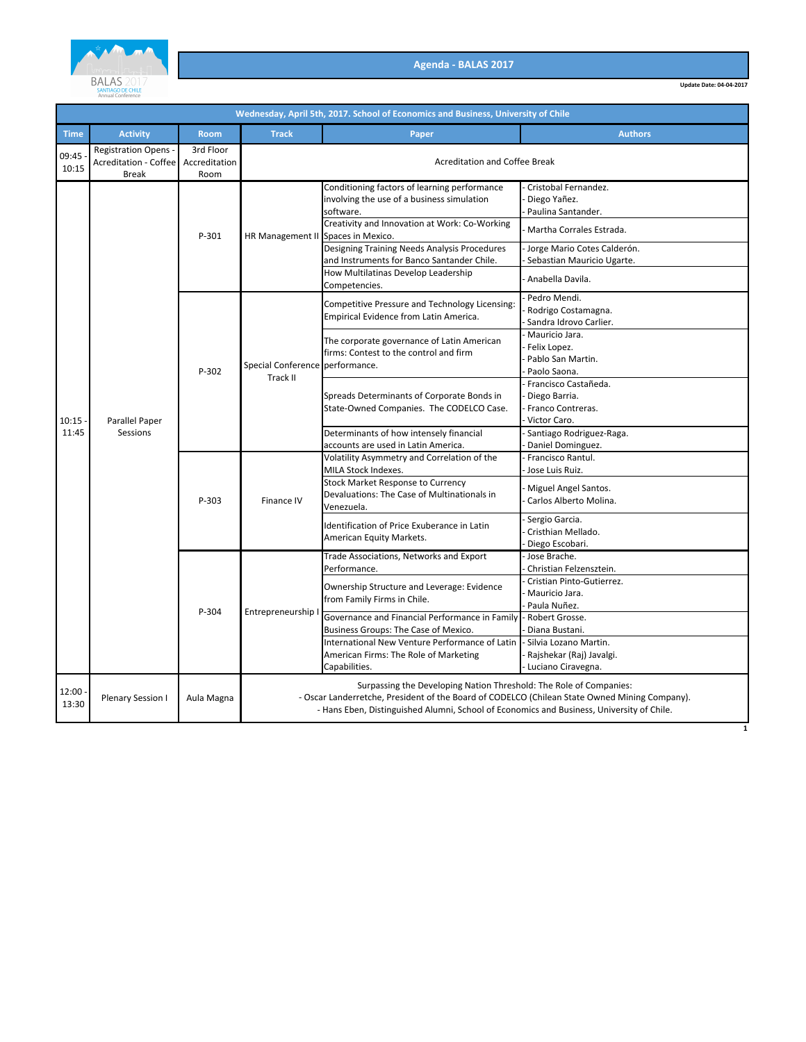

|                | Wednesday, April 5th, 2017. School of Economics and Business, University of Chile |                                    |                                                                                                                                                                                                                                                                  |                                                                                                                                                          |                                                                                        |  |  |  |
|----------------|-----------------------------------------------------------------------------------|------------------------------------|------------------------------------------------------------------------------------------------------------------------------------------------------------------------------------------------------------------------------------------------------------------|----------------------------------------------------------------------------------------------------------------------------------------------------------|----------------------------------------------------------------------------------------|--|--|--|
| <b>Time</b>    | <b>Activity</b>                                                                   | <b>Room</b>                        | <b>Track</b>                                                                                                                                                                                                                                                     | Paper                                                                                                                                                    | <b>Authors</b>                                                                         |  |  |  |
| 09:45<br>10:15 | <b>Registration Opens -</b><br><b>Acreditation - Coffee</b><br><b>Break</b>       | 3rd Floor<br>Accreditation<br>Room |                                                                                                                                                                                                                                                                  | <b>Acreditation and Coffee Break</b>                                                                                                                     |                                                                                        |  |  |  |
|                |                                                                                   | P-301                              | HR Management II Spaces in Mexico.                                                                                                                                                                                                                               | Conditioning factors of learning performance<br>involving the use of a business simulation<br>software.<br>Creativity and Innovation at Work: Co-Working | Cristobal Fernandez.<br>Diego Yañez.<br>Paulina Santander.<br>Martha Corrales Estrada. |  |  |  |
|                |                                                                                   |                                    |                                                                                                                                                                                                                                                                  | Designing Training Needs Analysis Procedures<br>and Instruments for Banco Santander Chile.<br>How Multilatinas Develop Leadership                        | Jorge Mario Cotes Calderón.<br>Sebastian Mauricio Ugarte.                              |  |  |  |
|                |                                                                                   |                                    |                                                                                                                                                                                                                                                                  | Competencies.                                                                                                                                            | Anabella Davila.                                                                       |  |  |  |
|                |                                                                                   |                                    |                                                                                                                                                                                                                                                                  | Competitive Pressure and Technology Licensing:<br>Empirical Evidence from Latin America.                                                                 | Pedro Mendi.<br>Rodrigo Costamagna.<br>Sandra Idrovo Carlier.                          |  |  |  |
| 10:15          | Parallel Paper<br>Sessions                                                        | P-302                              | Special Conference performance.<br>Track II                                                                                                                                                                                                                      | The corporate governance of Latin American<br>firms: Contest to the control and firm                                                                     | Mauricio Jara.<br>Felix Lopez.<br>Pablo San Martin.<br>Paolo Saona.                    |  |  |  |
|                |                                                                                   |                                    |                                                                                                                                                                                                                                                                  | Spreads Determinants of Corporate Bonds in<br>State-Owned Companies. The CODELCO Case.                                                                   | Francisco Castañeda.<br>Diego Barria.<br>Franco Contreras.<br>Victor Caro.             |  |  |  |
| 11:45          |                                                                                   |                                    |                                                                                                                                                                                                                                                                  | Determinants of how intensely financial<br>accounts are used in Latin America.                                                                           | Santiago Rodriguez-Raga.<br>Daniel Dominguez.                                          |  |  |  |
|                |                                                                                   | P-303                              | Finance IV                                                                                                                                                                                                                                                       | Volatility Asymmetry and Correlation of the<br>MILA Stock Indexes.                                                                                       | Francisco Rantul.<br>Jose Luis Ruiz.                                                   |  |  |  |
|                |                                                                                   |                                    |                                                                                                                                                                                                                                                                  | <b>Stock Market Response to Currency</b><br>Devaluations: The Case of Multinationals in<br>Venezuela.                                                    | Miguel Angel Santos.<br>Carlos Alberto Molina.                                         |  |  |  |
|                |                                                                                   |                                    |                                                                                                                                                                                                                                                                  | Identification of Price Exuberance in Latin<br>American Equity Markets.                                                                                  | Sergio Garcia.<br>Cristhian Mellado.<br>Diego Escobari.                                |  |  |  |
|                |                                                                                   | P-304                              | Entrepreneurship                                                                                                                                                                                                                                                 | Trade Associations, Networks and Export<br>Performance.                                                                                                  | Jose Brache.<br>Christian Felzensztein.                                                |  |  |  |
|                |                                                                                   |                                    |                                                                                                                                                                                                                                                                  | Ownership Structure and Leverage: Evidence<br>from Family Firms in Chile.                                                                                | Cristian Pinto-Gutierrez.<br>Mauricio Jara.<br>Paula Nuñez.                            |  |  |  |
|                |                                                                                   |                                    |                                                                                                                                                                                                                                                                  | Governance and Financial Performance in Family<br>Business Groups: The Case of Mexico.                                                                   | Robert Grosse.<br>Diana Bustani.                                                       |  |  |  |
|                |                                                                                   |                                    |                                                                                                                                                                                                                                                                  | International New Venture Performance of Latin<br>American Firms: The Role of Marketing<br>Capabilities.                                                 | Silvia Lozano Martin.<br>Rajshekar (Raj) Javalgi.<br>Luciano Ciravegna.                |  |  |  |
| 12:00<br>13:30 | Plenary Session I                                                                 | Aula Magna                         | Surpassing the Developing Nation Threshold: The Role of Companies:<br>- Oscar Landerretche, President of the Board of CODELCO (Chilean State Owned Mining Company).<br>- Hans Eben, Distinguished Alumni, School of Economics and Business, University of Chile. |                                                                                                                                                          |                                                                                        |  |  |  |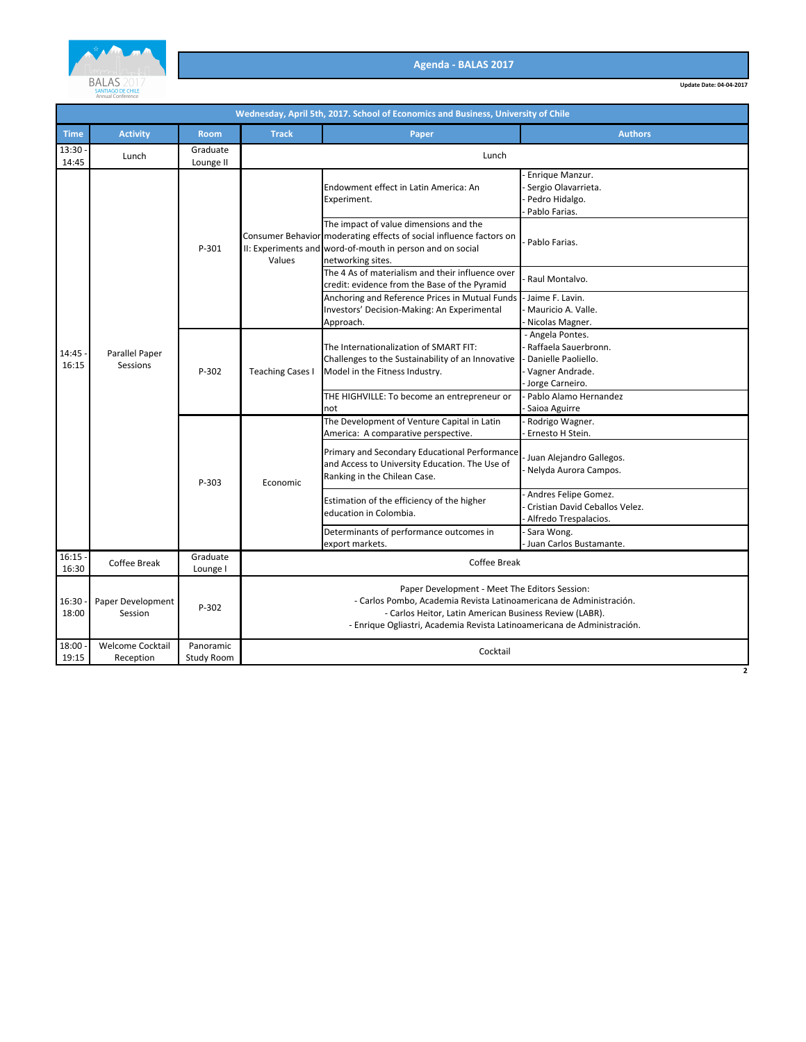

**Update Date: 04-04-2017**

|                | Wednesday, April 5th, 2017. School of Economics and Business, University of Chile |                         |                                                                                                                                                                                                                                                             |                                                                                                                                                                                                 |                                                                                                       |  |  |  |
|----------------|-----------------------------------------------------------------------------------|-------------------------|-------------------------------------------------------------------------------------------------------------------------------------------------------------------------------------------------------------------------------------------------------------|-------------------------------------------------------------------------------------------------------------------------------------------------------------------------------------------------|-------------------------------------------------------------------------------------------------------|--|--|--|
| <b>Time</b>    | <b>Activity</b>                                                                   | <b>Room</b>             | <b>Track</b>                                                                                                                                                                                                                                                | Paper                                                                                                                                                                                           | <b>Authors</b>                                                                                        |  |  |  |
| 13:30<br>14:45 | Lunch                                                                             | Graduate<br>Lounge II   | Lunch                                                                                                                                                                                                                                                       |                                                                                                                                                                                                 |                                                                                                       |  |  |  |
|                | Parallel Paper<br>Sessions                                                        | P-301                   | Values                                                                                                                                                                                                                                                      | Endowment effect in Latin America: An<br>Experiment.                                                                                                                                            | Enrique Manzur.<br>Sergio Olavarrieta.<br>Pedro Hidalgo.<br>Pablo Farias.                             |  |  |  |
|                |                                                                                   |                         |                                                                                                                                                                                                                                                             | The impact of value dimensions and the<br>Consumer Behavior moderating effects of social influence factors on<br>II: Experiments and word-of-mouth in person and on social<br>networking sites. | Pablo Farias.                                                                                         |  |  |  |
|                |                                                                                   |                         |                                                                                                                                                                                                                                                             | The 4 As of materialism and their influence over<br>credit: evidence from the Base of the Pyramid                                                                                               | Raul Montalvo.                                                                                        |  |  |  |
| 14:45<br>16:15 |                                                                                   |                         |                                                                                                                                                                                                                                                             | Anchoring and Reference Prices in Mutual Funds<br>Investors' Decision-Making: An Experimental<br>Approach.                                                                                      | Jaime F. Lavin.<br>Mauricio A. Valle.<br>Nicolas Magner.                                              |  |  |  |
|                |                                                                                   | P-302                   | <b>Teaching Cases I</b>                                                                                                                                                                                                                                     | The Internationalization of SMART FIT:<br>Challenges to the Sustainability of an Innovative<br>Model in the Fitness Industry.                                                                   | - Angela Pontes.<br>Raffaela Sauerbronn.<br>Danielle Paoliello.<br>Vagner Andrade.<br>Jorge Carneiro. |  |  |  |
|                |                                                                                   |                         |                                                                                                                                                                                                                                                             | THE HIGHVILLE: To become an entrepreneur or<br>not                                                                                                                                              | Pablo Alamo Hernandez<br>Saioa Aguirre                                                                |  |  |  |
|                |                                                                                   | P-303                   | Economic                                                                                                                                                                                                                                                    | The Development of Venture Capital in Latin<br>America: A comparative perspective.                                                                                                              | Rodrigo Wagner.<br>Ernesto H Stein.                                                                   |  |  |  |
|                |                                                                                   |                         |                                                                                                                                                                                                                                                             | Primary and Secondary Educational Performance<br>and Access to University Education. The Use of<br>Ranking in the Chilean Case.                                                                 | Juan Alejandro Gallegos.<br>Nelyda Aurora Campos.                                                     |  |  |  |
|                |                                                                                   |                         |                                                                                                                                                                                                                                                             | Estimation of the efficiency of the higher<br>education in Colombia.                                                                                                                            | Andres Felipe Gomez.<br>Cristian David Ceballos Velez.<br>Alfredo Trespalacios.                       |  |  |  |
|                |                                                                                   |                         |                                                                                                                                                                                                                                                             | Determinants of performance outcomes in<br>export markets.                                                                                                                                      | Sara Wong.<br>Juan Carlos Bustamante.                                                                 |  |  |  |
| 16:15<br>16:30 | Coffee Break                                                                      | Graduate<br>Lounge I    | Coffee Break                                                                                                                                                                                                                                                |                                                                                                                                                                                                 |                                                                                                       |  |  |  |
| 16:30<br>18:00 | Paper Development<br>Session                                                      | P-302                   | Paper Development - Meet The Editors Session:<br>- Carlos Pombo, Academia Revista Latinoamericana de Administración.<br>- Carlos Heitor, Latin American Business Review (LABR).<br>- Enrique Ogliastri, Academia Revista Latinoamericana de Administración. |                                                                                                                                                                                                 |                                                                                                       |  |  |  |
| 18:00<br>19:15 | Welcome Cocktail<br>Reception                                                     | Panoramic<br>Study Room | Cocktail                                                                                                                                                                                                                                                    |                                                                                                                                                                                                 |                                                                                                       |  |  |  |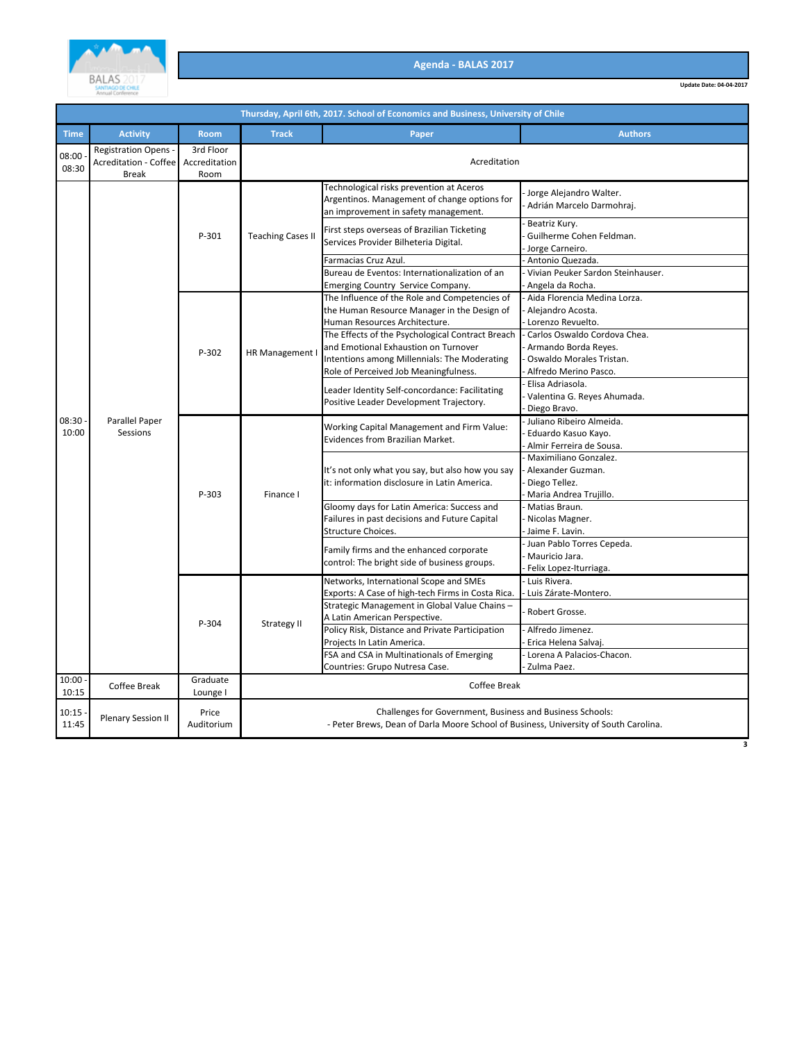

**Update Date: 04-04-2017**

|                | Thursday, April 6th, 2017. School of Economics and Business, University of Chile |                                    |                          |                                                                                                                                                                                   |                                                                                                           |  |  |
|----------------|----------------------------------------------------------------------------------|------------------------------------|--------------------------|-----------------------------------------------------------------------------------------------------------------------------------------------------------------------------------|-----------------------------------------------------------------------------------------------------------|--|--|
| <b>Time</b>    | <b>Activity</b>                                                                  | <b>Room</b>                        | <b>Track</b>             | Paper                                                                                                                                                                             | <b>Authors</b>                                                                                            |  |  |
| 08:00<br>08:30 | <b>Registration Opens -</b><br>Acreditation - Coffee<br><b>Break</b>             | 3rd Floor<br>Accreditation<br>Room | Acreditation             |                                                                                                                                                                                   |                                                                                                           |  |  |
|                |                                                                                  |                                    | <b>Teaching Cases II</b> | Technological risks prevention at Aceros<br>Argentinos. Management of change options for<br>an improvement in safety management.                                                  | Jorge Alejandro Walter.<br>Adrián Marcelo Darmohraj.                                                      |  |  |
|                |                                                                                  | P-301                              |                          | First steps overseas of Brazilian Ticketing<br>Services Provider Bilheteria Digital.                                                                                              | Beatriz Kury.<br>Guilherme Cohen Feldman.<br>Jorge Carneiro.                                              |  |  |
|                |                                                                                  |                                    |                          | Farmacias Cruz Azul.                                                                                                                                                              | Antonio Quezada.                                                                                          |  |  |
|                |                                                                                  |                                    |                          | Bureau de Eventos: Internationalization of an<br><b>Emerging Country Service Company.</b>                                                                                         | Vivian Peuker Sardon Steinhauser.<br>Angela da Rocha.                                                     |  |  |
|                |                                                                                  |                                    |                          | The Influence of the Role and Competencies of<br>the Human Resource Manager in the Design of<br>Human Resources Architecture.                                                     | - Aida Florencia Medina Lorza.<br>Alejandro Acosta.<br>Lorenzo Revuelto.                                  |  |  |
| 08:30<br>10:00 | Parallel Paper<br>Sessions                                                       | P-302                              | HR Management            | The Effects of the Psychological Contract Breach<br>and Emotional Exhaustion on Turnover<br>Intentions among Millennials: The Moderating<br>Role of Perceived Job Meaningfulness. | Carlos Oswaldo Cordova Chea.<br>Armando Borda Reyes.<br>Oswaldo Morales Tristan.<br>Alfredo Merino Pasco. |  |  |
|                |                                                                                  |                                    |                          | Leader Identity Self-concordance: Facilitating<br>Positive Leader Development Trajectory.                                                                                         | Elisa Adriasola.<br>Valentina G. Reyes Ahumada.<br>Diego Bravo.                                           |  |  |
|                |                                                                                  | P-303                              | Finance I                | Working Capital Management and Firm Value:<br>Evidences from Brazilian Market.                                                                                                    | Juliano Ribeiro Almeida.<br>Eduardo Kasuo Kayo.<br>Almir Ferreira de Sousa.                               |  |  |
|                |                                                                                  |                                    |                          | It's not only what you say, but also how you say<br>it: information disclosure in Latin America.                                                                                  | Maximiliano Gonzalez.<br>Alexander Guzman.<br>Diego Tellez.<br>Maria Andrea Trujillo.                     |  |  |
|                |                                                                                  |                                    |                          | Gloomy days for Latin America: Success and<br>Failures in past decisions and Future Capital<br>Structure Choices.                                                                 | Matias Braun.<br>Nicolas Magner.<br>Jaime F. Lavin.                                                       |  |  |
|                |                                                                                  |                                    |                          | Family firms and the enhanced corporate<br>control: The bright side of business groups.                                                                                           | Juan Pablo Torres Cepeda.<br>Mauricio Jara.<br>Felix Lopez-Iturriaga.                                     |  |  |
|                |                                                                                  |                                    |                          | Networks, International Scope and SMEs<br>Exports: A Case of high-tech Firms in Costa Rica.                                                                                       | - Luis Rivera.<br>- Luis Zárate-Montero.                                                                  |  |  |
|                |                                                                                  | P-304                              | Strategy II              | Strategic Management in Global Value Chains -<br>A Latin American Perspective.                                                                                                    | Robert Grosse.                                                                                            |  |  |
|                |                                                                                  |                                    |                          | Policy Risk, Distance and Private Participation<br>Projects In Latin America.                                                                                                     | Alfredo Jimenez.<br>Erica Helena Salvaj.                                                                  |  |  |
|                |                                                                                  |                                    |                          | FSA and CSA in Multinationals of Emerging<br>Countries: Grupo Nutresa Case.                                                                                                       | Lorena A Palacios-Chacon.<br>Zulma Paez.                                                                  |  |  |
| 10:00<br>10:15 | Coffee Break                                                                     | Graduate<br>Lounge I               |                          | Coffee Break                                                                                                                                                                      |                                                                                                           |  |  |
| 10:15<br>11:45 | <b>Plenary Session II</b>                                                        | Price<br>Auditorium                |                          | Challenges for Government, Business and Business Schools:<br>- Peter Brews, Dean of Darla Moore School of Business, University of South Carolina.                                 |                                                                                                           |  |  |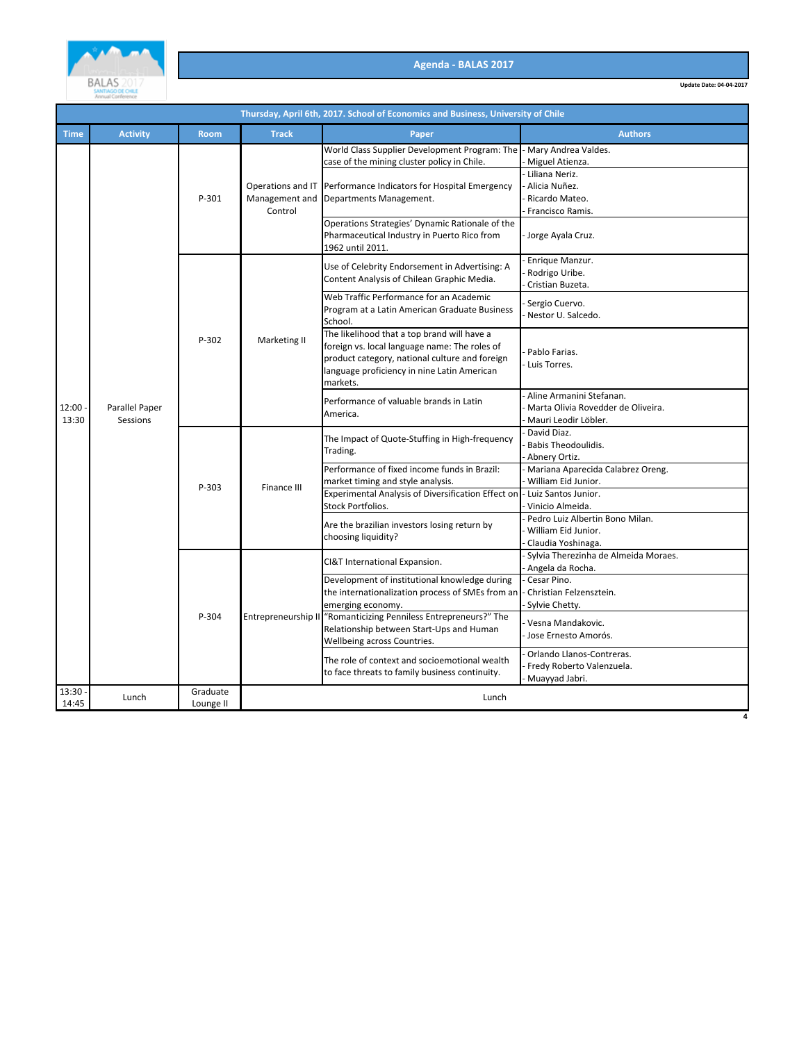

|                | Thursday, April 6th, 2017. School of Economics and Business, University of Chile |                       |                                                |                                                                                                                                                                                                           |                                                                                                                   |  |  |
|----------------|----------------------------------------------------------------------------------|-----------------------|------------------------------------------------|-----------------------------------------------------------------------------------------------------------------------------------------------------------------------------------------------------------|-------------------------------------------------------------------------------------------------------------------|--|--|
| <b>Time</b>    | <b>Activity</b>                                                                  | <b>Room</b>           | <b>Track</b>                                   | Paper                                                                                                                                                                                                     | <b>Authors</b>                                                                                                    |  |  |
|                |                                                                                  | P-301                 | Operations and IT<br>Management and<br>Control | World Class Supplier Development Program: The<br>case of the mining cluster policy in Chile.<br>Performance Indicators for Hospital Emergency<br>Departments Management.                                  | - Mary Andrea Valdes.<br>Miguel Atienza.<br>Liliana Neriz.<br>Alicia Nuñez.<br>Ricardo Mateo.<br>Francisco Ramis. |  |  |
|                |                                                                                  |                       |                                                | Operations Strategies' Dynamic Rationale of the<br>Pharmaceutical Industry in Puerto Rico from<br>1962 until 2011.                                                                                        | Jorge Ayala Cruz.                                                                                                 |  |  |
|                |                                                                                  |                       |                                                | Use of Celebrity Endorsement in Advertising: A<br>Content Analysis of Chilean Graphic Media.                                                                                                              | Enrique Manzur.<br>Rodrigo Uribe.<br>Cristian Buzeta.                                                             |  |  |
|                | Parallel Paper<br>Sessions                                                       |                       | Marketing II                                   | Web Traffic Performance for an Academic<br>Program at a Latin American Graduate Business<br>School.                                                                                                       | Sergio Cuervo.<br>Nestor U. Salcedo.                                                                              |  |  |
|                |                                                                                  | P-302                 |                                                | The likelihood that a top brand will have a<br>foreign vs. local language name: The roles of<br>product category, national culture and foreign<br>language proficiency in nine Latin American<br>markets. | Pablo Farias.<br>Luis Torres.                                                                                     |  |  |
| 12:00<br>13:30 |                                                                                  |                       |                                                | Performance of valuable brands in Latin<br>America.                                                                                                                                                       | Aline Armanini Stefanan.<br>Marta Olivia Rovedder de Oliveira.<br>Mauri Leodir Löbler.                            |  |  |
|                |                                                                                  | P-303                 | Finance III                                    | The Impact of Quote-Stuffing in High-frequency<br>Trading.                                                                                                                                                | David Diaz.<br>Babis Theodoulidis.<br>Abnery Ortiz.                                                               |  |  |
|                |                                                                                  |                       |                                                | Performance of fixed income funds in Brazil:<br>market timing and style analysis.<br>Experimental Analysis of Diversification Effect on                                                                   | Mariana Aparecida Calabrez Oreng.<br>William Eid Junior.<br>Luiz Santos Junior.                                   |  |  |
|                |                                                                                  |                       |                                                | Stock Portfolios.                                                                                                                                                                                         | Vinicio Almeida.                                                                                                  |  |  |
|                |                                                                                  |                       |                                                | Are the brazilian investors losing return by<br>choosing liquidity?                                                                                                                                       | Pedro Luiz Albertin Bono Milan.<br>William Eid Junior.<br>Claudia Yoshinaga.                                      |  |  |
|                |                                                                                  | P-304                 | Entrepreneurship II                            | CI&T International Expansion.                                                                                                                                                                             | Sylvia Therezinha de Almeida Moraes.<br>Angela da Rocha.                                                          |  |  |
|                |                                                                                  |                       |                                                | Development of institutional knowledge during<br>the internationalization process of SMEs from an<br>emerging economy.                                                                                    | Cesar Pino.<br>Christian Felzensztein.<br>Sylvie Chetty.                                                          |  |  |
|                |                                                                                  |                       |                                                | "Romanticizing Penniless Entrepreneurs?" The<br>Relationship between Start-Ups and Human<br>Wellbeing across Countries.                                                                                   | Vesna Mandakovic.<br>Jose Ernesto Amorós.                                                                         |  |  |
|                |                                                                                  |                       |                                                | The role of context and socioemotional wealth<br>to face threats to family business continuity.                                                                                                           | Orlando Llanos-Contreras.<br>Fredy Roberto Valenzuela.<br>Muayyad Jabri.                                          |  |  |
| 13:30<br>14:45 | Lunch                                                                            | Graduate<br>Lounge II |                                                | Lunch                                                                                                                                                                                                     |                                                                                                                   |  |  |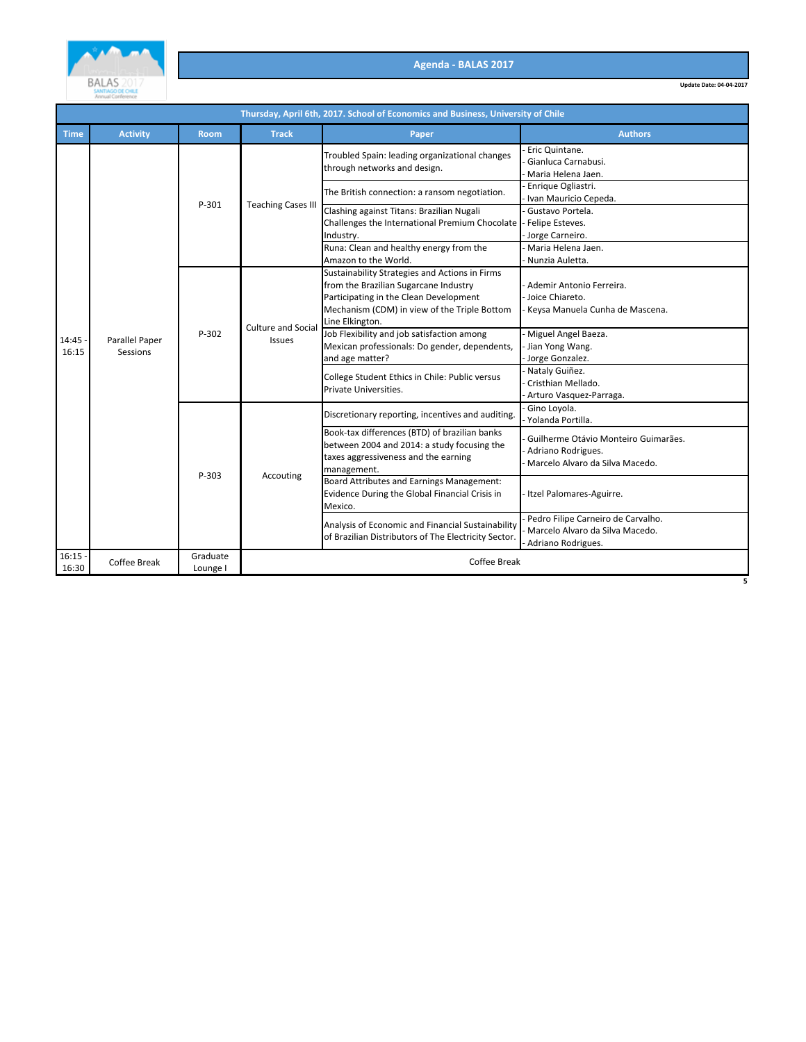

**Update Date: 04-04-2017**

|                    | Thursday, April 6th, 2017. School of Economics and Business, University of Chile |                      |                              |                                                                                                                                                                                                      |                                                                                               |  |  |  |
|--------------------|----------------------------------------------------------------------------------|----------------------|------------------------------|------------------------------------------------------------------------------------------------------------------------------------------------------------------------------------------------------|-----------------------------------------------------------------------------------------------|--|--|--|
| <b>Time</b>        | <b>Activity</b>                                                                  | <b>Room</b>          | <b>Track</b>                 | Paper                                                                                                                                                                                                | <b>Authors</b>                                                                                |  |  |  |
|                    |                                                                                  | P-301                | <b>Teaching Cases III</b>    | Troubled Spain: leading organizational changes<br>through networks and design.                                                                                                                       | Eric Quintane.<br>Gianluca Carnabusi.<br>Maria Helena Jaen.                                   |  |  |  |
|                    |                                                                                  |                      |                              | The British connection: a ransom negotiation.                                                                                                                                                        | Enrique Ogliastri.<br>Ivan Mauricio Cepeda.                                                   |  |  |  |
|                    |                                                                                  |                      |                              | Clashing against Titans: Brazilian Nugali<br>Challenges the International Premium Chocolate<br>Industry.                                                                                             | Gustavo Portela.<br>Felipe Esteves.<br>Jorge Carneiro.                                        |  |  |  |
|                    |                                                                                  |                      |                              | Runa: Clean and healthy energy from the<br>Amazon to the World.                                                                                                                                      | Maria Helena Jaen.<br>Nunzia Auletta.                                                         |  |  |  |
| 14:45<br>16:15     | Parallel Paper<br>Sessions                                                       | P-302                | Culture and Social<br>Issues | Sustainability Strategies and Actions in Firms<br>from the Brazilian Sugarcane Industry<br>Participating in the Clean Development<br>Mechanism (CDM) in view of the Triple Bottom<br>Line Elkington. | Ademir Antonio Ferreira.<br>Joice Chiareto.<br>Keysa Manuela Cunha de Mascena.                |  |  |  |
|                    |                                                                                  |                      |                              | Job Flexibility and job satisfaction among<br>Mexican professionals: Do gender, dependents,<br>and age matter?                                                                                       | Miguel Angel Baeza.<br>Jian Yong Wang.<br>Jorge Gonzalez.                                     |  |  |  |
|                    |                                                                                  |                      |                              | College Student Ethics in Chile: Public versus<br>Private Universities.                                                                                                                              | Nataly Guiñez.<br>Cristhian Mellado.<br>Arturo Vasquez-Parraga.                               |  |  |  |
|                    |                                                                                  | P-303                | Accouting                    | Discretionary reporting, incentives and auditing.                                                                                                                                                    | Gino Loyola.<br>Yolanda Portilla.                                                             |  |  |  |
|                    |                                                                                  |                      |                              | Book-tax differences (BTD) of brazilian banks<br>between 2004 and 2014: a study focusing the<br>taxes aggressiveness and the earning<br>management.                                                  | Guilherme Otávio Monteiro Guimarães.<br>Adriano Rodrigues.<br>Marcelo Alvaro da Silva Macedo. |  |  |  |
|                    |                                                                                  |                      |                              | Board Attributes and Earnings Management:<br>Evidence During the Global Financial Crisis in<br>Mexico.                                                                                               | Itzel Palomares-Aguirre.                                                                      |  |  |  |
|                    |                                                                                  |                      |                              | Analysis of Economic and Financial Sustainability<br>of Brazilian Distributors of The Electricity Sector.                                                                                            | Pedro Filipe Carneiro de Carvalho.<br>Marcelo Alvaro da Silva Macedo.<br>Adriano Rodrigues.   |  |  |  |
| $16:15 -$<br>16:30 | Coffee Break                                                                     | Graduate<br>Lounge I |                              | <b>Coffee Break</b>                                                                                                                                                                                  |                                                                                               |  |  |  |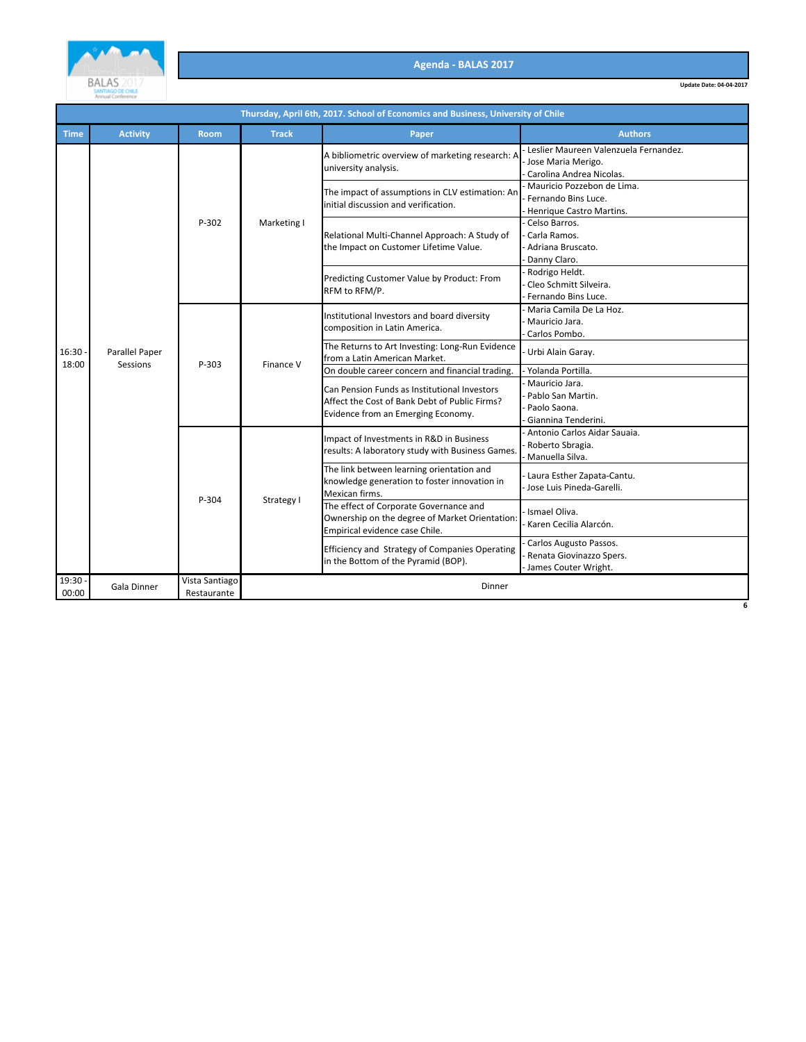

|                  | Thursday, April 6th, 2017. School of Economics and Business, University of Chile |                               |              |                                                                                                                                     |                                                                                         |  |  |  |
|------------------|----------------------------------------------------------------------------------|-------------------------------|--------------|-------------------------------------------------------------------------------------------------------------------------------------|-----------------------------------------------------------------------------------------|--|--|--|
| <b>Time</b>      | <b>Activity</b>                                                                  | Room                          | <b>Track</b> | Paper                                                                                                                               | <b>Authors</b>                                                                          |  |  |  |
|                  | Parallel Paper<br>Sessions                                                       | P-302                         | Marketing I  | A bibliometric overview of marketing research: A<br>university analysis.                                                            | Leslier Maureen Valenzuela Fernandez.<br>Jose Maria Merigo.<br>Carolina Andrea Nicolas. |  |  |  |
| 16:30.           |                                                                                  |                               |              | The impact of assumptions in CLV estimation: An<br>initial discussion and verification.                                             | Mauricio Pozzebon de Lima.<br>Fernando Bins Luce.<br>Henrique Castro Martins.           |  |  |  |
|                  |                                                                                  |                               |              | Relational Multi-Channel Approach: A Study of<br>the Impact on Customer Lifetime Value.                                             | Celso Barros.<br>Carla Ramos.<br>Adriana Bruscato.<br>Danny Claro.                      |  |  |  |
|                  |                                                                                  |                               |              | Predicting Customer Value by Product: From<br>RFM to RFM/P.                                                                         | Rodrigo Heldt.<br>Cleo Schmitt Silveira.<br>Fernando Bins Luce.                         |  |  |  |
|                  |                                                                                  | P-303<br>P-304                | Finance V    | Institutional Investors and board diversity<br>composition in Latin America.                                                        | Maria Camila De La Hoz.<br>Mauricio Jara.<br>Carlos Pombo.                              |  |  |  |
|                  |                                                                                  |                               |              | The Returns to Art Investing: Long-Run Evidence<br>from a Latin American Market.                                                    | Urbi Alain Garay.                                                                       |  |  |  |
| 18:00            |                                                                                  |                               |              | On double career concern and financial trading.                                                                                     | Yolanda Portilla.                                                                       |  |  |  |
|                  |                                                                                  |                               |              | Can Pension Funds as Institutional Investors<br>Affect the Cost of Bank Debt of Public Firms?<br>Evidence from an Emerging Economy. | Mauricio Jara.<br>Pablo San Martin.<br>Paolo Saona.<br>Giannina Tenderini.              |  |  |  |
|                  |                                                                                  |                               | Strategy I   | Impact of Investments in R&D in Business<br>results: A laboratory study with Business Games.                                        | Antonio Carlos Aidar Sauaia.<br>Roberto Sbragia.<br>Manuella Silva.                     |  |  |  |
|                  |                                                                                  |                               |              | The link between learning orientation and<br>knowledge generation to foster innovation in<br>Mexican firms.                         | Laura Esther Zapata-Cantu.<br>Jose Luis Pineda-Garelli.                                 |  |  |  |
|                  |                                                                                  |                               |              | The effect of Corporate Governance and<br>Ownership on the degree of Market Orientation:<br>Empirical evidence case Chile.          | Ismael Oliva.<br>Karen Cecilia Alarcón.                                                 |  |  |  |
|                  |                                                                                  |                               |              | Efficiency and Strategy of Companies Operating<br>in the Bottom of the Pyramid (BOP).                                               | Carlos Augusto Passos.<br>Renata Giovinazzo Spers.<br>James Couter Wright.              |  |  |  |
| 19:30 -<br>00:00 | Gala Dinner                                                                      | Vista Santiago<br>Restaurante |              | Dinner                                                                                                                              |                                                                                         |  |  |  |